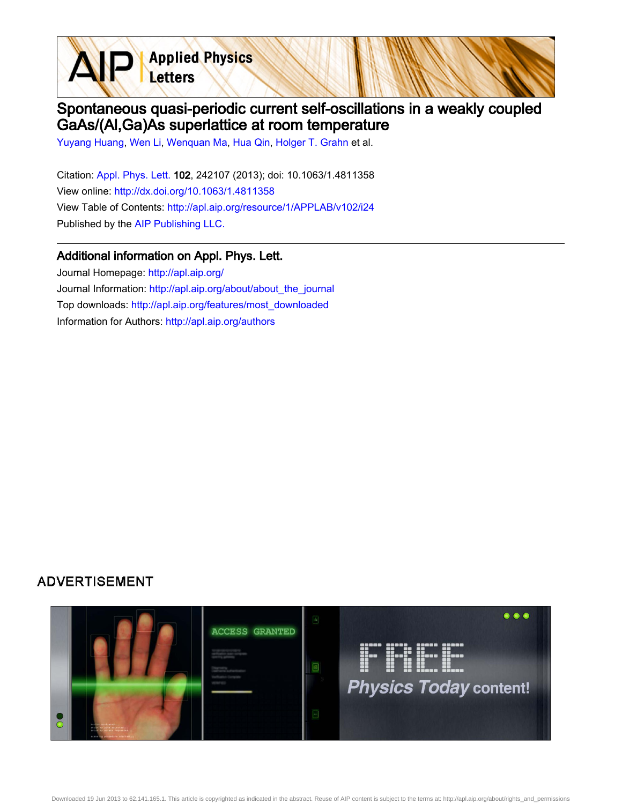**Applied Physics** Letters

## Spontaneous quasi-periodic current self-oscillations in a weakly coupled GaAs/(Al,Ga)As superlattice at room temperature

[Yuyang Huang](http://apl.aip.org/search?sortby=newestdate&q=&searchzone=2&searchtype=searchin&faceted=faceted&key=AIP_ALL&possible1=Yuyang Huang&possible1zone=author&alias=&displayid=AIP&ver=pdfcov), [Wen Li,](http://apl.aip.org/search?sortby=newestdate&q=&searchzone=2&searchtype=searchin&faceted=faceted&key=AIP_ALL&possible1=Wen Li&possible1zone=author&alias=&displayid=AIP&ver=pdfcov) [Wenquan Ma,](http://apl.aip.org/search?sortby=newestdate&q=&searchzone=2&searchtype=searchin&faceted=faceted&key=AIP_ALL&possible1=Wenquan Ma&possible1zone=author&alias=&displayid=AIP&ver=pdfcov) [Hua Qin,](http://apl.aip.org/search?sortby=newestdate&q=&searchzone=2&searchtype=searchin&faceted=faceted&key=AIP_ALL&possible1=Hua Qin&possible1zone=author&alias=&displayid=AIP&ver=pdfcov) [Holger T. Grahn](http://apl.aip.org/search?sortby=newestdate&q=&searchzone=2&searchtype=searchin&faceted=faceted&key=AIP_ALL&possible1=Holger T. Grahn&possible1zone=author&alias=&displayid=AIP&ver=pdfcov) et al.

Citation: [Appl. Phys. Lett. 1](http://apl.aip.org/?ver=pdfcov)02, 242107 (2013); doi: 10.1063/1.4811358 View online: [http://dx.doi.org/10.1063/1.4811358](http://link.aip.org/link/doi/10.1063/1.4811358?ver=pdfcov) View Table of Contents: [http://apl.aip.org/resource/1/APPLAB/v102/i24](http://apl.aip.org/resource/1/APPLAB/v102/i24?ver=pdfcov) Published by the [AIP Publishing LLC.](http://www.aip.org/?ver=pdfcov)

## Additional information on Appl. Phys. Lett.

Journal Homepage: [http://apl.aip.org/](http://apl.aip.org/?ver=pdfcov) Journal Information: [http://apl.aip.org/about/about\\_the\\_journal](http://apl.aip.org/about/about_the_journal?ver=pdfcov) Top downloads: [http://apl.aip.org/features/most\\_downloaded](http://apl.aip.org/features/most_downloaded?ver=pdfcov) Information for Authors: [http://apl.aip.org/authors](http://apl.aip.org/authors?ver=pdfcov)

## **ADVERTISEMENT**



Downloaded 19 Jun 2013 to 62.141.165.1. This article is copyrighted as indicated in the abstract. Reuse of AIP content is subject to the terms at: http://apl.aip.org/about/rights\_and\_permissions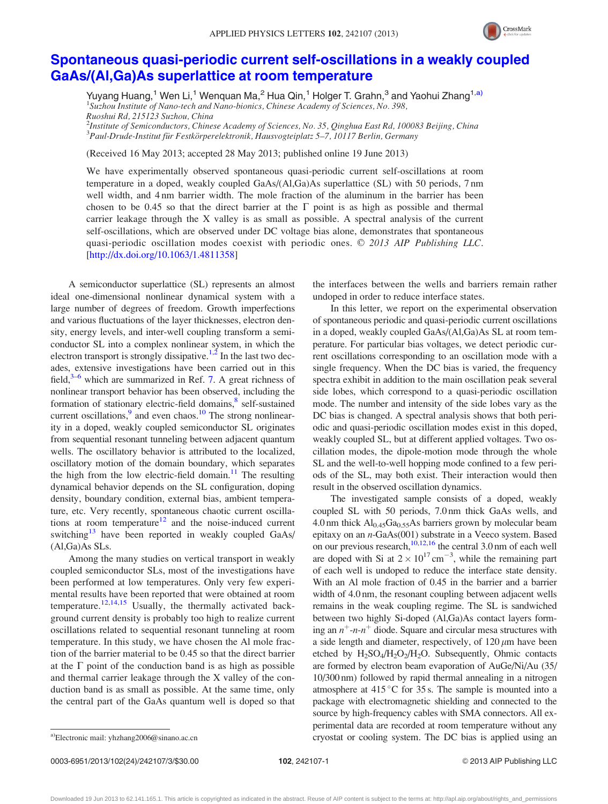

## [Spontaneous quasi-periodic current self-oscillations in a weakly coupled](http://dx.doi.org/10.1063/1.4811358) [GaAs/\(Al,Ga\)As superlattice at room temperature](http://dx.doi.org/10.1063/1.4811358)

Yuyang Huang,<sup>1</sup> Wen Li,<sup>1</sup> Wenquan Ma,<sup>2</sup> Hua Qin,<sup>1</sup> Holger T. Grahn,<sup>3</sup> and Yaohui Zhang<sup>1,a)</sup> <sup>1</sup>Suzhou Institute of Nano-tech and Nano-bionics, Chinese Academy of Sciences, No. 398, Ruoshui Rd, 215123 Suzhou, China

<sup>2</sup>Institute of Semiconductors, Chinese Academy of Sciences, No. 35, Qinghua East Rd, 100083 Beijing, China  $^3$ Paul-Drude-Institut für Festkörperelektronik, Hausvogteiplatz 5–7, 10117 Berlin, Germany

(Received 16 May 2013; accepted 28 May 2013; published online 19 June 2013)

We have experimentally observed spontaneous quasi-periodic current self-oscillations at room temperature in a doped, weakly coupled GaAs/(Al,Ga)As superlattice (SL) with 50 periods, 7 nm well width, and 4 nm barrier width. The mole fraction of the aluminum in the barrier has been chosen to be 0.45 so that the direct barrier at the  $\Gamma$  point is as high as possible and thermal carrier leakage through the X valley is as small as possible. A spectral analysis of the current self-oscillations, which are observed under DC voltage bias alone, demonstrates that spontaneous quasi-periodic oscillation modes coexist with periodic ones.  $\odot$  2013 AIP Publishing LLC. [\[http://dx.doi.org/10.1063/1.4811358](http://dx.doi.org/10.1063/1.4811358)]

A semiconductor superlattice (SL) represents an almost ideal one-dimensional nonlinear dynamical system with a large number of degrees of freedom. Growth imperfections and various fluctuations of the layer thicknesses, electron density, energy levels, and inter-well coupling transform a semiconductor SL into a complex nonlinear system, in which the electron transport is strongly dissipative.<sup>1,2</sup> In the last two decades, extensive investigations have been carried out in this field, $3-6$  which are summarized in Ref. [7.](#page-3-0) A great richness of nonlinear transport behavior has been observed, including the formation of stationary electric-field domains,<sup>8</sup> self-sustained current oscillations, $9$  and even chaos.<sup>10</sup> The strong nonlinearity in a doped, weakly coupled semiconductor SL originates from sequential resonant tunneling between adjacent quantum wells. The oscillatory behavior is attributed to the localized, oscillatory motion of the domain boundary, which separates the high from the low electric-field domain. $11$  The resulting dynamical behavior depends on the SL configuration, doping density, boundary condition, external bias, ambient temperature, etc. Very recently, spontaneous chaotic current oscillations at room temperature<sup>12</sup> and the noise-induced current switching<sup>13</sup> have been reported in weakly coupled GaAs/ (Al,Ga)As SLs.

Among the many studies on vertical transport in weakly coupled semiconductor SLs, most of the investigations have been performed at low temperatures. Only very few experimental results have been reported that were obtained at room temperature.<sup>[12](#page-3-0),[14,15](#page-3-0)</sup> Usually, the thermally activated background current density is probably too high to realize current oscillations related to sequential resonant tunneling at room temperature. In this study, we have chosen the Al mole fraction of the barrier material to be 0.45 so that the direct barrier at the  $\Gamma$  point of the conduction band is as high as possible and thermal carrier leakage through the X valley of the conduction band is as small as possible. At the same time, only the central part of the GaAs quantum well is doped so that the interfaces between the wells and barriers remain rather undoped in order to reduce interface states.

In this letter, we report on the experimental observation of spontaneous periodic and quasi-periodic current oscillations in a doped, weakly coupled GaAs/(Al,Ga)As SL at room temperature. For particular bias voltages, we detect periodic current oscillations corresponding to an oscillation mode with a single frequency. When the DC bias is varied, the frequency spectra exhibit in addition to the main oscillation peak several side lobes, which correspond to a quasi-periodic oscillation mode. The number and intensity of the side lobes vary as the DC bias is changed. A spectral analysis shows that both periodic and quasi-periodic oscillation modes exist in this doped, weakly coupled SL, but at different applied voltages. Two oscillation modes, the dipole-motion mode through the whole SL and the well-to-well hopping mode confined to a few periods of the SL, may both exist. Their interaction would then result in the observed oscillation dynamics.

The investigated sample consists of a doped, weakly coupled SL with 50 periods, 7.0 nm thick GaAs wells, and 4.0 nm thick  $Al_{0.45}Ga_{0.55}As$  barriers grown by molecular beam epitaxy on an n-GaAs(001) substrate in a Veeco system. Based on our previous research, $10,12,16$  the central 3.0 nm of each well are doped with Si at  $2 \times 10^{17}$  cm<sup>-3</sup>, while the remaining part of each well is undoped to reduce the interface state density. With an Al mole fraction of 0.45 in the barrier and a barrier width of 4.0 nm, the resonant coupling between adjacent wells remains in the weak coupling regime. The SL is sandwiched between two highly Si-doped (Al,Ga)As contact layers forming an  $n^+$ -n-n<sup>+</sup> diode. Square and circular mesa structures with a side length and diameter, respectively, of  $120 \mu m$  have been etched by  $H_2SO_4/H_2O_2/H_2O$ . Subsequently, Ohmic contacts are formed by electron beam evaporation of AuGe/Ni/Au (35/ 10/300 nm) followed by rapid thermal annealing in a nitrogen atmosphere at  $415\textdegree C$  for 35 s. The sample is mounted into a package with electromagnetic shielding and connected to the source by high-frequency cables with SMA connectors. All experimental data are recorded at room temperature without any a)Electronic mail: [yhzhang2006@sinano.ac.cn](mailto:yhzhang2006@sinano.ac.cn) cryostat or cooling system. The DC bias is applied using an

0003-6951/2013/102(24)/242107/3/\$30.00 102, 242107-1 02, 242107-1 202, 242107-1

Downloaded 19 Jun 2013 to 62.141.165.1. This article is copyrighted as indicated in the abstract. Reuse of AIP content is subject to the terms at: http://apl.aip.org/about/rights\_and\_permissions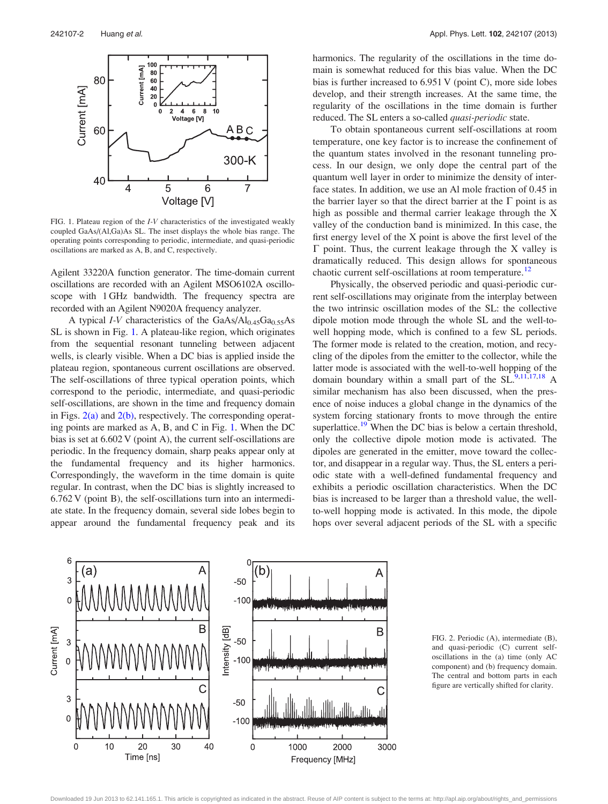

FIG. 1. Plateau region of the I-V characteristics of the investigated weakly coupled GaAs/(Al,Ga)As SL. The inset displays the whole bias range. The operating points corresponding to periodic, intermediate, and quasi-periodic oscillations are marked as A, B, and C, respectively.

Agilent 33220A function generator. The time-domain current oscillations are recorded with an Agilent MSO6102A oscilloscope with 1 GHz bandwidth. The frequency spectra are recorded with an Agilent N9020A frequency analyzer.

A typical *I-V* characteristics of the  $GaAs/Al<sub>0.45</sub>Ga<sub>0.55</sub>As$ SL is shown in Fig. 1. A plateau-like region, which originates from the sequential resonant tunneling between adjacent wells, is clearly visible. When a DC bias is applied inside the plateau region, spontaneous current oscillations are observed. The self-oscillations of three typical operation points, which correspond to the periodic, intermediate, and quasi-periodic self-oscillations, are shown in the time and frequency domain in Figs.  $2(a)$  and  $2(b)$ , respectively. The corresponding operating points are marked as A, B, and C in Fig. 1. When the DC bias is set at 6.602 V (point A), the current self-oscillations are periodic. In the frequency domain, sharp peaks appear only at the fundamental frequency and its higher harmonics. Correspondingly, the waveform in the time domain is quite regular. In contrast, when the DC bias is slightly increased to 6.762 V (point B), the self-oscillations turn into an intermediate state. In the frequency domain, several side lobes begin to appear around the fundamental frequency peak and its harmonics. The regularity of the oscillations in the time domain is somewhat reduced for this bias value. When the DC bias is further increased to 6.951 V (point C), more side lobes develop, and their strength increases. At the same time, the regularity of the oscillations in the time domain is further reduced. The SL enters a so-called quasi-periodic state.

To obtain spontaneous current self-oscillations at room temperature, one key factor is to increase the confinement of the quantum states involved in the resonant tunneling process. In our design, we only dope the central part of the quantum well layer in order to minimize the density of interface states. In addition, we use an Al mole fraction of 0.45 in the barrier layer so that the direct barrier at the  $\Gamma$  point is as high as possible and thermal carrier leakage through the X valley of the conduction band is minimized. In this case, the first energy level of the X point is above the first level of the  $\Gamma$  point. Thus, the current leakage through the X valley is dramatically reduced. This design allows for spontaneous chaotic current self-oscillations at room temperature.<sup>[12](#page-3-0)</sup>

Physically, the observed periodic and quasi-periodic current self-oscillations may originate from the interplay between the two intrinsic oscillation modes of the SL: the collective dipole motion mode through the whole SL and the well-towell hopping mode, which is confined to a few SL periods. The former mode is related to the creation, motion, and recycling of the dipoles from the emitter to the collector, while the latter mode is associated with the well-to-well hopping of the domain boundary within a small part of the  $SL<sup>9,11,17,18</sup>$  $SL<sup>9,11,17,18</sup>$  $SL<sup>9,11,17,18</sup>$  $SL<sup>9,11,17,18</sup>$  $SL<sup>9,11,17,18</sup>$  A similar mechanism has also been discussed, when the presence of noise induces a global change in the dynamics of the system forcing stationary fronts to move through the entire superlattice.<sup>[19](#page-3-0)</sup> When the DC bias is below a certain threshold, only the collective dipole motion mode is activated. The dipoles are generated in the emitter, move toward the collector, and disappear in a regular way. Thus, the SL enters a periodic state with a well-defined fundamental frequency and exhibits a periodic oscillation characteristics. When the DC bias is increased to be larger than a threshold value, the wellto-well hopping mode is activated. In this mode, the dipole hops over several adjacent periods of the SL with a specific



FIG. 2. Periodic (A), intermediate (B), and quasi-periodic (C) current selfoscillations in the (a) time (only AC component) and (b) frequency domain. The central and bottom parts in each figure are vertically shifted for clarity.

Downloaded 19 Jun 2013 to 62.141.165.1. This article is copyrighted as indicated in the abstract. Reuse of AIP content is subject to the terms at: http://apl.aip.org/about/rights\_and\_permissions